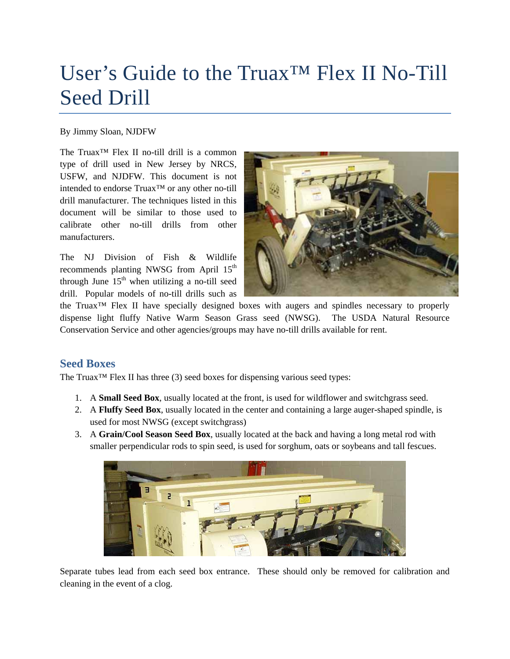# User's Guide to the Truax™ Flex II No-Till Seed Drill

#### By Jimmy Sloan, NJDFW

The Truax™ Flex II no-till drill is a common type of drill used in New Jersey by NRCS, USFW, and NJDFW. This document is not intended to endorse Truax™ or any other no-till drill manufacturer. The techniques listed in this document will be similar to those used to calibrate other no-till drills from other manufacturers.

The NJ Division of Fish & Wildlife recommends planting NWSG from April 15<sup>th</sup> through June  $15<sup>th</sup>$  when utilizing a no-till seed drill. Popular models of no-till drills such as



the Truax™ Flex II have specially designed boxes with augers and spindles necessary to properly dispense light fluffy Native Warm Season Grass seed (NWSG). The USDA Natural Resource Conservation Service and other agencies/groups may have no-till drills available for rent.

#### **Seed Boxes**

The Truax™ Flex II has three (3) seed boxes for dispensing various seed types:

- 1. A **Small Seed Box**, usually located at the front, is used for wildflower and switchgrass seed.
- 2. A **Fluffy Seed Box**, usually located in the center and containing a large auger-shaped spindle, is used for most NWSG (except switchgrass)
- 3. A **Grain/Cool Season Seed Box**, usually located at the back and having a long metal rod with smaller perpendicular rods to spin seed, is used for sorghum, oats or soybeans and tall fescues.



Separate tubes lead from each seed box entrance. These should only be removed for calibration and cleaning in the event of a clog.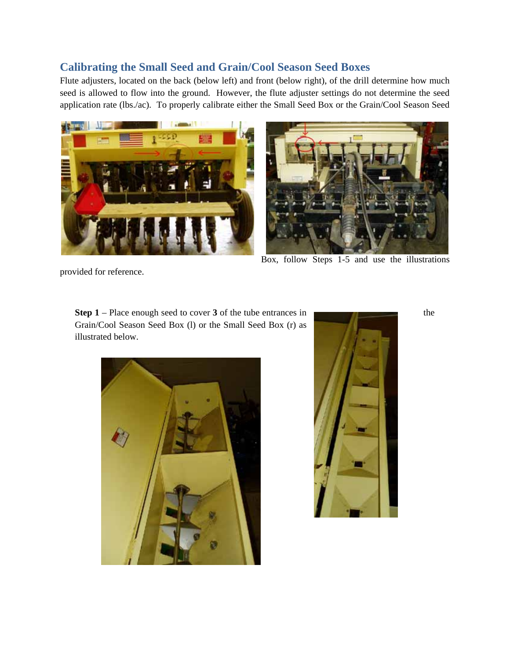### **Calibrating the Small Seed and Grain/Cool Season Seed Boxes**

Flute adjusters, located on the back (below left) and front (below right), of the drill determine how much seed is allowed to flow into the ground. However, the flute adjuster settings do not determine the seed application rate (lbs./ac). To properly calibrate either the Small Seed Box or the Grain/Cool Season Seed





Box, follow Steps 1-5 and use the illustrations

provided for reference.

**Step 1** – Place enough seed to cover **3** of the tube entrances in the Grain/Cool Season Seed Box (l) or the Small Seed Box (r) as illustrated below.



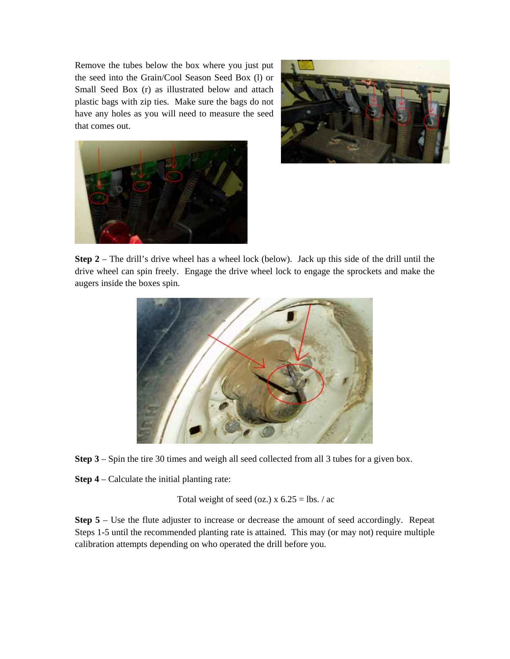Remove the tubes below the box where you just put the seed into the Grain/Cool Season Seed Box (l) or Small Seed Box (r) as illustrated below and attach plastic bags with zip ties. Make sure the bags do not have any holes as you will need to measure the seed that comes out.





**Step 2** – The drill's drive wheel has a wheel lock (below). Jack up this side of the drill until the drive wheel can spin freely. Engage the drive wheel lock to engage the sprockets and make the augers inside the boxes spin.



**Step 3** – Spin the tire 30 times and weigh all seed collected from all 3 tubes for a given box.

**Step 4** – Calculate the initial planting rate:

Total weight of seed (oz.)  $x 6.25 = lbs. / ac$ 

**Step 5** – Use the flute adjuster to increase or decrease the amount of seed accordingly. Repeat Steps 1-5 until the recommended planting rate is attained. This may (or may not) require multiple calibration attempts depending on who operated the drill before you.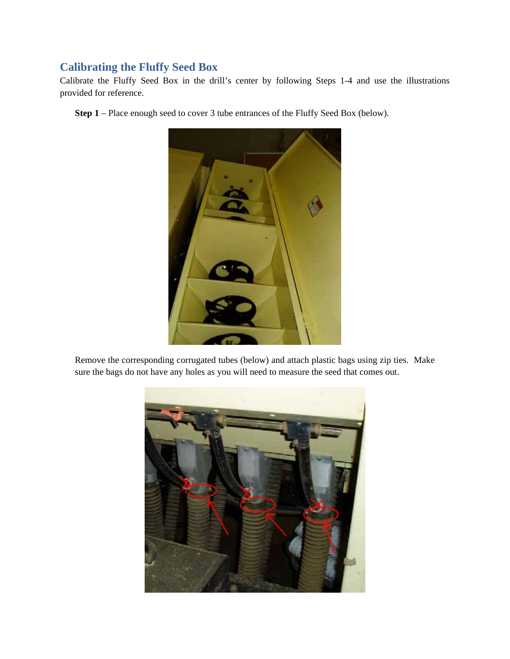## **Calibrating the Fluffy Seed Box**

Calibrate the Fluffy Seed Box in the drill's center by following Steps 1-4 and use the illustrations provided for reference.

**Step 1** – Place enough seed to cover 3 tube entrances of the Fluffy Seed Box (below).



Remove the corresponding corrugated tubes (below) and attach plastic bags using zip ties. Make sure the bags do not have any holes as you will need to measure the seed that comes out.